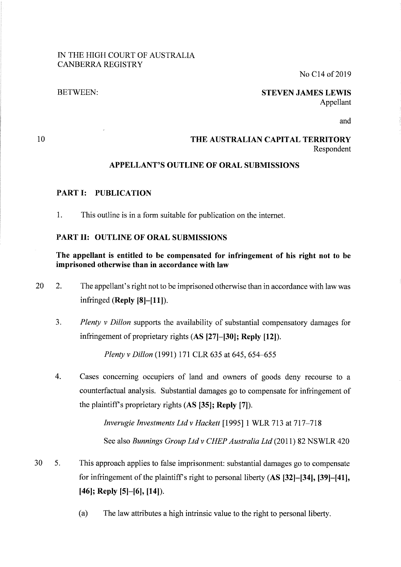#### IN THE HIGH COURT OF AUSTRALIA CANBERRA REGISTRY

No C<sub>14</sub> of 2019

#### BETWEEN:

#### **STEVEN JAMES LEWIS**  Appellant

and

## 10

#### **THE AUSTRALIAN CAPITAL TERRITORY**  Respondent

# **APPELLANT'S OUTLINE OF ORAL SUBMISSIONS**

## **PART I: PUBLICATION**

1. This outline is in a form suitable for publication on the internet.

## **PART II: OUTLINE OF ORAL SUBMISSIONS**

## **The appellant is entitled to be compensated for infringement of his right not to be imprisoned otherwise than in accordance with law**

- 20 2. The appellant's right not to be imprisoned otherwise than in accordance with law was infringed **(Reply [8]-[11** ]).
	- 3. *Plenty v Dillon* supports the availability of substantial compensatory damages for infringement of proprietary rights **(AS [27]-[30]; Reply [12]).**

*Plenty v Dillon* (1991) 171 CLR 635 at 645, 654-655

4. Cases concerning occupiers of land and owners of goods deny recourse to a counterfactual analysis. Substantial damages go to compensate for infringement of the plaintiffs proprietary rights **(AS [35]; Reply [7]).** 

> *Inverugie Investments Ltd v Hackett* [1995] 1 WLR 713 at 717-718 See also *Runnings Group Ltd v CHEP Australia Ltd* (2011) 82 NS WLR 420

- 30 5. This approach applies to false imprisonment: substantial damages go to compensate for infringement of the plaintiff's right to personal liberty **(AS <sup>[32]</sup>–[34]**, **[39]–[41]**, **[46]; Reply [5]-[6], [14]).** 
	- (a) The law attributes a high intrinsic value to the right to personal liberty.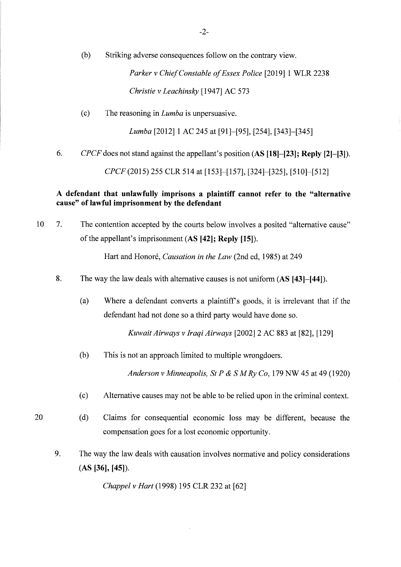(b) Striking adverse consequences follow on the contrary view.

*Parker v Chief Constable of Essex Police* [2019] 1 WLR 2238 *Christie v Leachinsky* [1947] AC 573

(c) The reasoning in *Lumba* is unpersuasive.

*Lumba* [2012] 1 AC 245 at [91]-[95], [254], [343]-[345]

6. *CPCF* does not stand against the appellant's position **(AS [18]-[23]; Reply [2]-[3]).** 

*CPCF(20l5)* 255 CLR 514 at [153]-[157], [324]-[325], [510]-[512]

### **A defendant that unlawfully imprisons a plaintiff cannot refer to the "alternative cause" of lawful imprisonment by the defendant**

10 7. The contention accepted by the courts below involves a posited "alternative cause" of the appellant's imprisonment **(AS [42]; Reply [15]).** 

Hart and Honoré, *Causation in the Law* (2nd ed, 1985) at 249

- 8. The way the law deals with alternative causes is not uniform **(AS [43]-[44]).** 
	- (a) Where a defendant converts a plaintiff's goods, it is irrelevant that if the defendant had not done so a third party would have done so.

*Kuwait Airways v Iraqi Airways* [2002] 2 AC 883 at [82], [129]

(b) This is not an approach limited to multiple wrongdoers.

*Anderson v Minneapolis, St P & SM Ry Co,* 179 NW 45 at 49 (1920)

- ( c) Alternative causes may not be able to be relied upon in the criminal context.
- (d) Claims for consequential economic loss may be different, because the compensation goes for a lost economic opportunity.
- 9. The way the law deals with causation involves normative and policy considerations **(AS [36], [45]).**

*Chappel v Hart* (1998) 195 CLR 232 at [62]

20